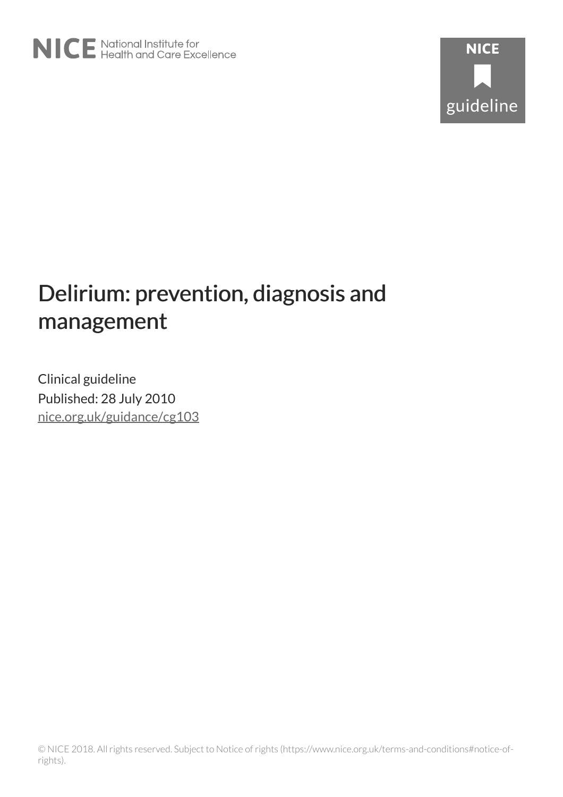# Delirium: prevention, diagnosis and management

Clinical guideline Published: 28 July 2010 [nice.org.uk/guidance/cg103](http://nice.org.uk/guidance/cg103)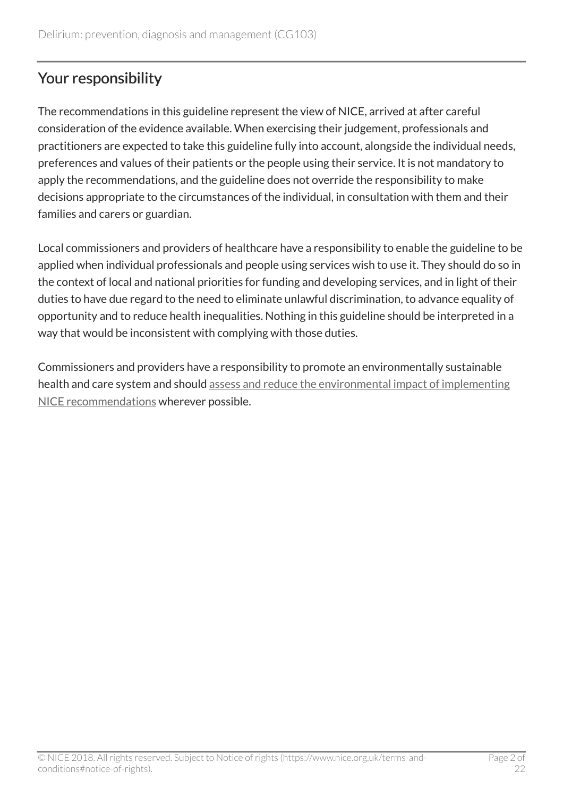# Your responsibility

The recommendations in this guideline represent the view of NICE, arrived at after careful consideration of the evidence available. When exercising their judgement, professionals and practitioners are expected to take this guideline fully into account, alongside the individual needs, preferences and values of their patients or the people using their service. It is not mandatory to apply the recommendations, and the guideline does not override the responsibility to make decisions appropriate to the circumstances of the individual, in consultation with them and their families and carers or guardian.

Local commissioners and providers of healthcare have a responsibility to enable the guideline to be applied when individual professionals and people using services wish to use it. They should do so in the context of local and national priorities for funding and developing services, and in light of their duties to have due regard to the need to eliminate unlawful discrimination, to advance equality of opportunity and to reduce health inequalities. Nothing in this guideline should be interpreted in a way that would be inconsistent with complying with those duties.

Commissioners and providers have a responsibility to promote an environmentally sustainable health and care system and should [assess and reduce the environmental impact of implementing](https://www.nice.org.uk/about/who-we-are/sustainability) [NICE recommendations](https://www.nice.org.uk/about/who-we-are/sustainability) wherever possible.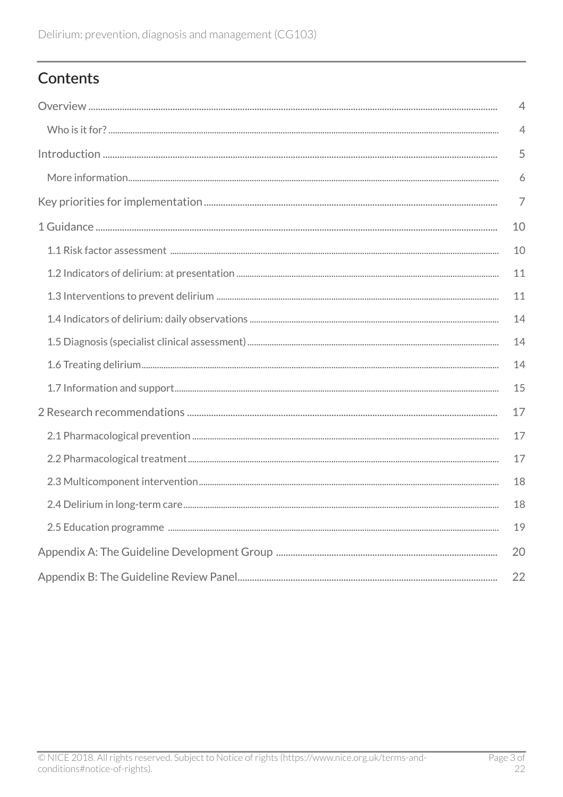# Contents

| $\overline{4}$ |
|----------------|
| $\overline{4}$ |
| 5              |
| 6              |
| $\overline{7}$ |
| 10             |
| 10             |
| 11             |
| 11             |
| 14             |
| 14             |
| 14             |
| 15             |
| 17             |
| 17             |
| 17             |
| 18             |
| 18             |
| 19             |
| 20             |
| 22             |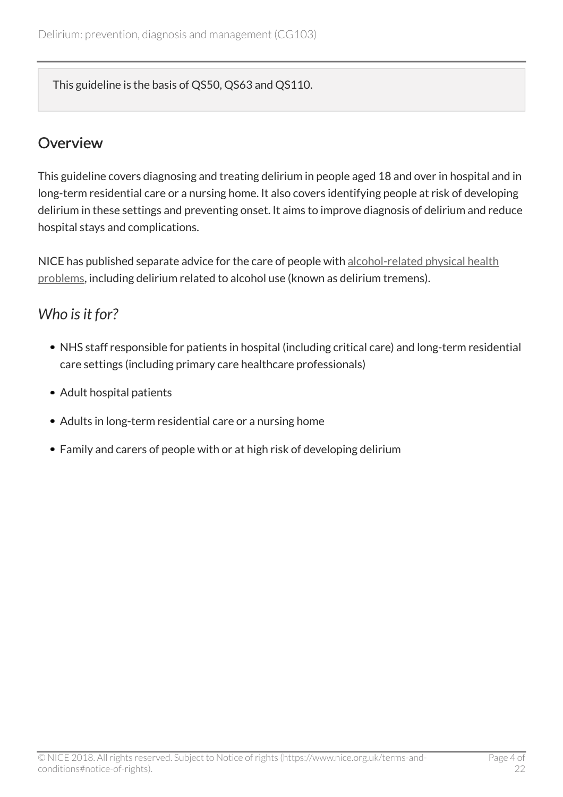This guideline is the basis of QS50, QS63 and QS110.

### <span id="page-3-0"></span>**Overview**

This guideline covers diagnosing and treating delirium in people aged 18 and over in hospital and in long-term residential care or a nursing home. It also covers identifying people at risk of developing delirium in these settings and preventing onset. It aims to improve diagnosis of delirium and reduce hospital stays and complications.

NICE has published separate advice for the care of people with [alcohol-related physical health](http://www.nice.org.uk/guidance/cg100) [problems](http://www.nice.org.uk/guidance/cg100), including delirium related to alcohol use (known as delirium tremens).

# <span id="page-3-1"></span>*Who is it for?*

- NHS staff responsible for patients in hospital (including critical care) and long-term residential care settings (including primary care healthcare professionals)
- Adult hospital patients
- Adults in long-term residential care or a nursing home
- Family and carers of people with or at high risk of developing delirium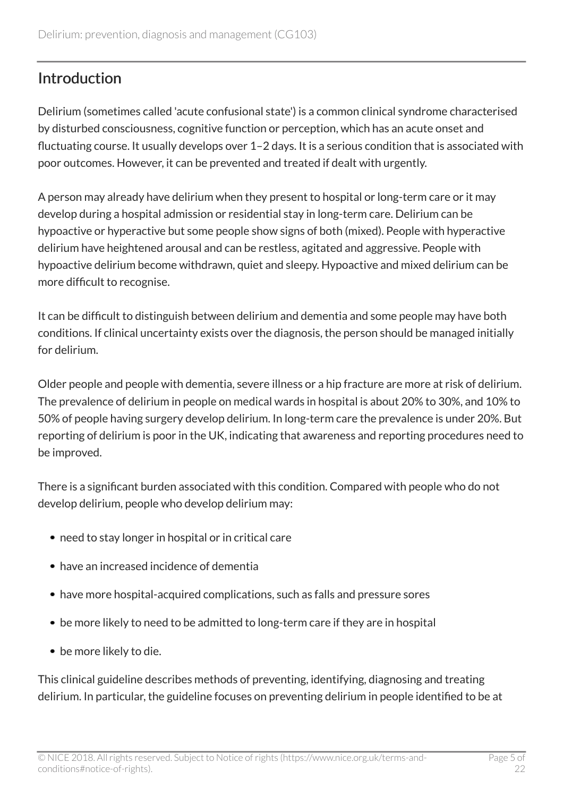# <span id="page-4-0"></span>Introduction

Delirium (sometimes called 'acute confusional state') is a common clinical syndrome characterised by disturbed consciousness, cognitive function or perception, which has an acute onset and fluctuating course. It usually develops over 1–2 days. It is a serious condition that is associated with poor outcomes. However, it can be prevented and treated if dealt with urgently.

A person may already have delirium when they present to hospital or long-term care or it may develop during a hospital admission or residential stay in long-term care. Delirium can be hypoactive or hyperactive but some people show signs of both (mixed). People with hyperactive delirium have heightened arousal and can be restless, agitated and aggressive. People with hypoactive delirium become withdrawn, quiet and sleepy. Hypoactive and mixed delirium can be more difficult to recognise.

It can be difficult to distinguish between delirium and dementia and some people may have both conditions. If clinical uncertainty exists over the diagnosis, the person should be managed initially for delirium.

Older people and people with dementia, severe illness or a hip fracture are more at risk of delirium. The prevalence of delirium in people on medical wards in hospital is about 20% to 30%, and 10% to 50% of people having surgery develop delirium. In long-term care the prevalence is under 20%. But reporting of delirium is poor in the UK, indicating that awareness and reporting procedures need to be improved.

There is a significant burden associated with this condition. Compared with people who do not develop delirium, people who develop delirium may:

- need to stay longer in hospital or in critical care
- have an increased incidence of dementia
- have more hospital-acquired complications, such as falls and pressure sores
- be more likely to need to be admitted to long-term care if they are in hospital
- be more likely to die.

This clinical guideline describes methods of preventing, identifying, diagnosing and treating delirium. In particular, the guideline focuses on preventing delirium in people identified to be at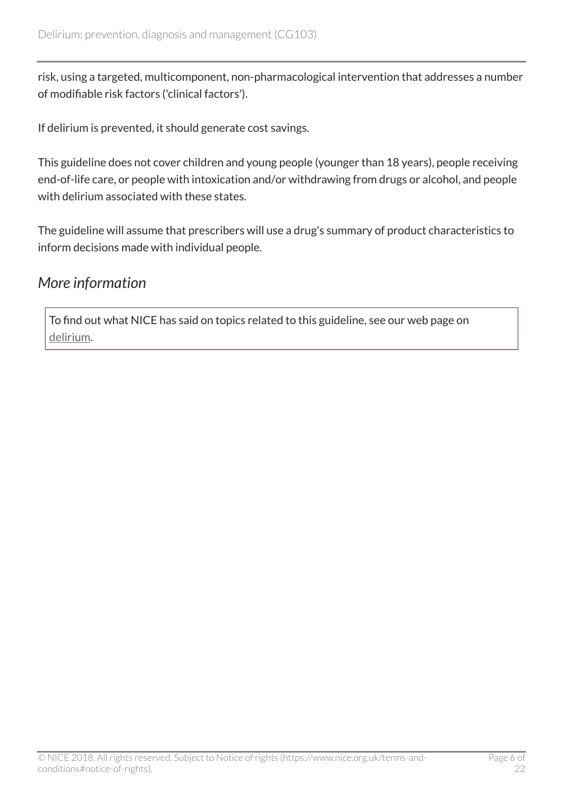risk, using a targeted, multicomponent, non-pharmacological intervention that addresses a number of modifiable risk factors ('clinical factors').

If delirium is prevented, it should generate cost savings.

This guideline does not cover children and young people (younger than 18 years), people receiving end-of-life care, or people with intoxication and/or withdrawing from drugs or alcohol, and people with delirium associated with these states.

The guideline will assume that prescribers will use a drug's summary of product characteristics to inform decisions made with individual people*.*

# <span id="page-5-0"></span>*More information*

To find out what NICE has said on topics related to this guideline, see our web page on [delirium.](https://www.nice.org.uk/guidance/conditions-and-diseases/mental-health-and-behavioural-conditions/delirium)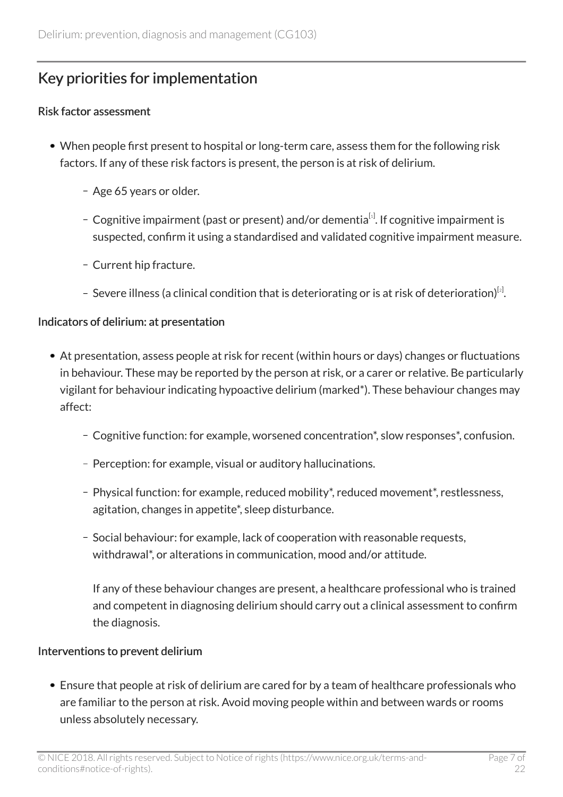# <span id="page-6-0"></span>Key priorities for implementation

#### Risk factor assessment

- <span id="page-6-1"></span>When people first present to hospital or long-term care, assess them for the following risk factors. If any of these risk factors is present, the person is at risk of delirium.
	- Age 65 years or older.
	- Cognitive impairment (past or present) and/or dementia $^{\lbrack\! \lbrack\cdot\rbrack}$ . If cognitive impairment is suspected, confirm it using a standardised and validated cognitive impairment measure.
	- Current hip fracture.
	- Severe illness (a clinical condition that is deteriorating or is at risk of deterioration) $^{\lbrack\!\lbrack2]}$  $^{\lbrack\!\lbrack2]}$  $^{\lbrack\!\lbrack2]}$ .

#### <span id="page-6-2"></span>Indicators of delirium: at presentation

- At presentation, assess people at risk for recent (within hours or days) changes or fluctuations in behaviour. These may be reported by the person at risk, or a carer or relative. Be particularly vigilant for behaviour indicating hypoactive delirium (marked\*). These behaviour changes may affect:
	- Cognitive function: for example, worsened concentration\*, slow responses\*, confusion.
	- Perception: for example, visual or auditory hallucinations.
	- Physical function: for example, reduced mobility\*, reduced movement\*, restlessness, agitation, changes in appetite\*, sleep disturbance.
	- Social behaviour: for example, lack of cooperation with reasonable requests, withdrawal\*, or alterations in communication, mood and/or attitude.

If any of these behaviour changes are present, a healthcare professional who is trained and competent in diagnosing delirium should carry out a clinical assessment to confirm the diagnosis.

#### Interventions to prevent delirium

Ensure that people at risk of delirium are cared for by a team of healthcare professionals who are familiar to the person at risk. Avoid moving people within and between wards or rooms unless absolutely necessary.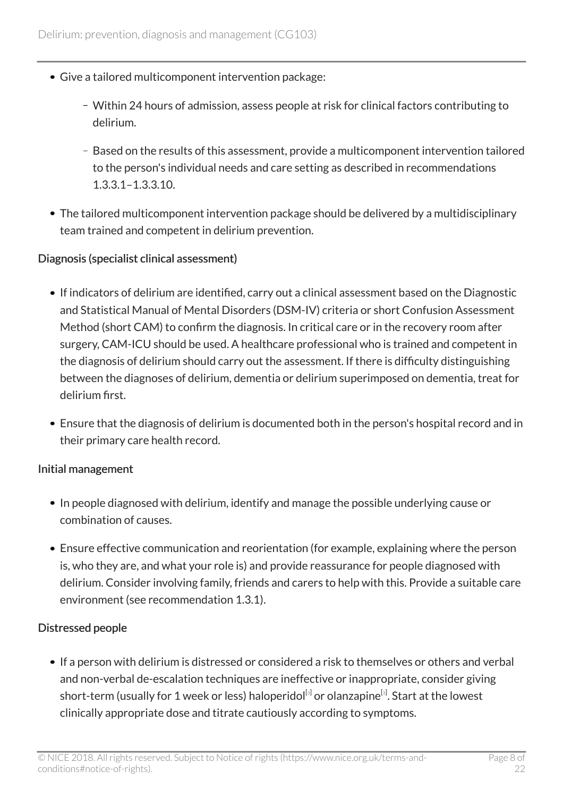- Give a tailored multicomponent intervention package:
	- Within 24 hours of admission, assess people at risk for clinical factors contributing to delirium.
	- Based on the results of this assessment, provide a multicomponent intervention tailored to the person's individual needs and care setting as described in recommendations 1.3.3.1–1.3.3.10.
- The tailored multicomponent intervention package should be delivered by a multidisciplinary team trained and competent in delirium prevention.

#### Diagnosis (specialist clinical assessment)

- If indicators of delirium are identified, carry out a clinical assessment based on the Diagnostic and Statistical Manual of Mental Disorders (DSM-IV) criteria or short Confusion Assessment Method (short CAM) to confirm the diagnosis. In critical care or in the recovery room after surgery, CAM-ICU should be used. A healthcare professional who is trained and competent in the diagnosis of delirium should carry out the assessment. If there is difficulty distinguishing between the diagnoses of delirium, dementia or delirium superimposed on dementia, treat for delirium first.
- Ensure that the diagnosis of delirium is documented both in the person's hospital record and in their primary care health record.

#### Initial management

- In people diagnosed with delirium, identify and manage the possible underlying cause or combination of causes.
- Ensure effective communication and reorientation (for example, explaining where the person is, who they are, and what your role is) and provide reassurance for people diagnosed with delirium. Consider involving family, friends and carers to help with this. Provide a suitable care environment (see recommendation 1.3.1).

#### Distressed people

<span id="page-7-0"></span>If a person with delirium is distressed or considered a risk to themselves or others and verbal and non-verbal de-escalation techniques are ineffective or inappropriate, consider giving short-term (usually for 1 week or less) haloperidol<sup>[s]</sup> or olanzapine<sup>[s]</sup>. Start at the lowest clinically appropriate dose and titrate cautiously according to symptoms.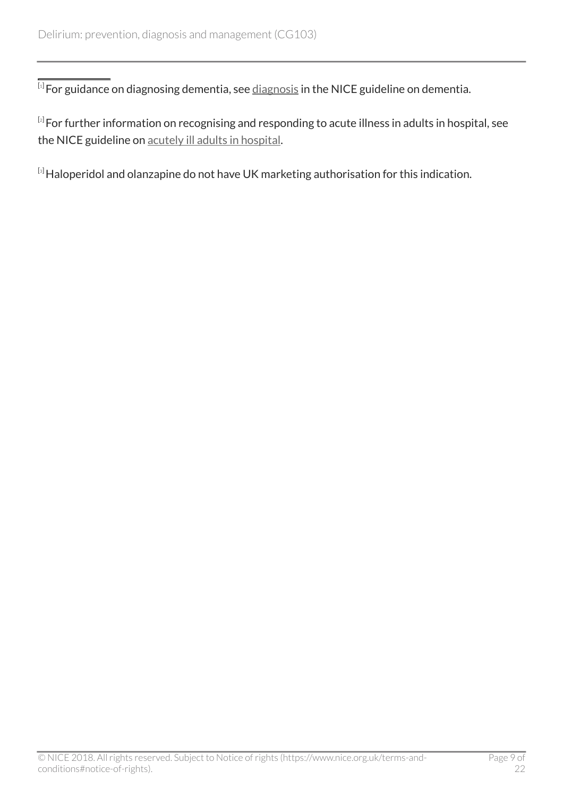<span id="page-8-0"></span> $^{\left[ 1\right] }$  $^{\left[ 1\right] }$  $^{\left[ 1\right] }$ For guidance on diagnosing dementia, see  $\underline{\rm\,di}$ gnosis in the NICE guideline on dementia.

<span id="page-8-1"></span> $^{\lbrack 2]}$  $^{\lbrack 2]}$  $^{\lbrack 2]}$ For further information on recognising and responding to acute illness in adults in hospital, see the NICE guideline on [acutely ill adults in hospital.](http://www.nice.org.uk/guidance/cg50)

<span id="page-8-2"></span>[[3](#page-7-0)] Haloperidol and olanzapine do not have UK marketing authorisation for this indication.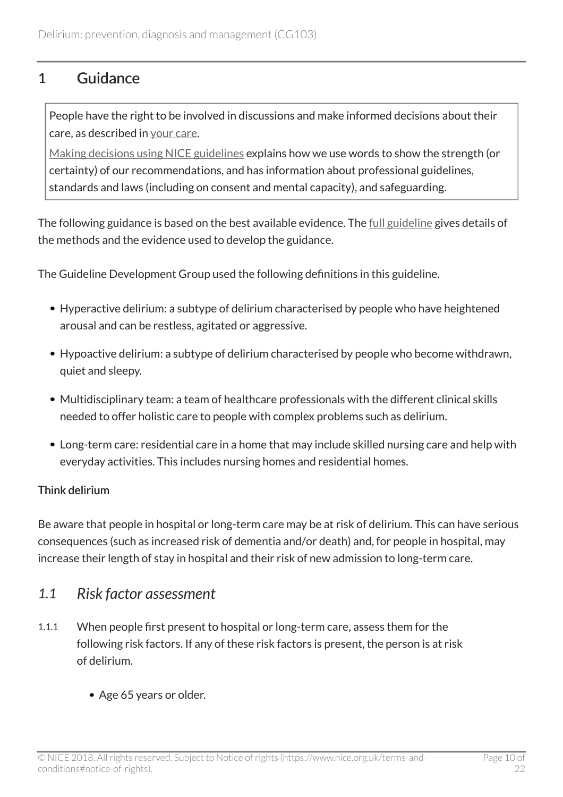### <span id="page-9-0"></span>1 Guidance

People have the right to be involved in discussions and make informed decisions about their care, as described in [your care](http://www.nice.org.uk/about/nice-communities/public-involvement/your-care).

[Making decisions using NICE guidelines](http://www.nice.org.uk/about/what-we-do/our-programmes/nice-guidance/nice-guidelines/making-decisions-using-nice-guidelines) explains how we use words to show the strength (or certainty) of our recommendations, and has information about professional guidelines, standards and laws (including on consent and mental capacity), and safeguarding.

The following guidance is based on the best available evidence. The [full guideline](http://www.nice.org.uk/guidance/cg103/evidence) gives details of the methods and the evidence used to develop the guidance.

The Guideline Development Group used the following definitions in this guideline.

- Hyperactive delirium: a subtype of delirium characterised by people who have heightened arousal and can be restless, agitated or aggressive.
- Hypoactive delirium: a subtype of delirium characterised by people who become withdrawn, quiet and sleepy.
- Multidisciplinary team: a team of healthcare professionals with the different clinical skills needed to offer holistic care to people with complex problems such as delirium.
- Long-term care: residential care in a home that may include skilled nursing care and help with everyday activities. This includes nursing homes and residential homes.

### Think delirium

Be aware that people in hospital or long-term care may be at risk of delirium. This can have serious consequences (such as increased risk of dementia and/or death) and, for people in hospital, may increase their length of stay in hospital and their risk of new admission to long-term care.

### <span id="page-9-1"></span>*1.1 Risk factor assessment*

- 1.1.1 When people first present to hospital or long-term care, assess them for the following risk factors. If any of these risk factors is present, the person is at risk of delirium.
	- Age 65 years or older.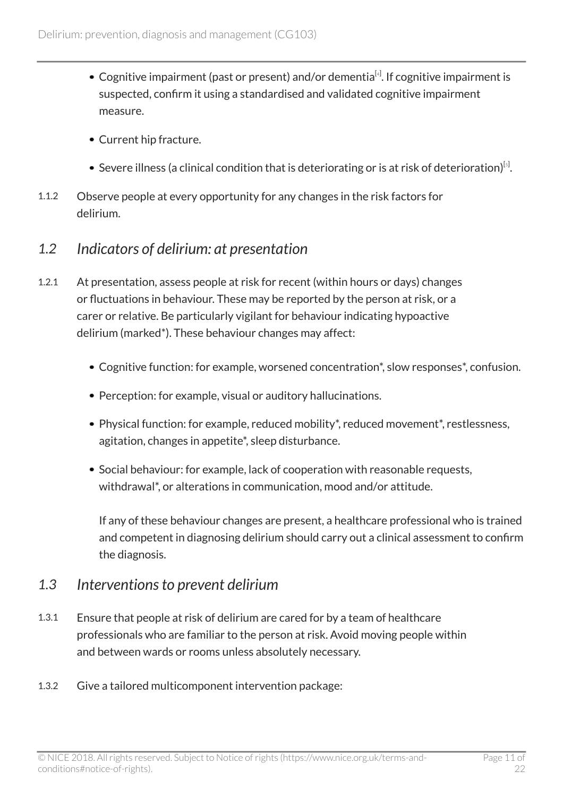- <span id="page-10-2"></span>Cognitive impairment (past or present) and/or dementia $^{[4]}$  $^{[4]}$  $^{[4]}$ . If cognitive impairment is suspected, confirm it using a standardised and validated cognitive impairment measure.
- Current hip fracture.
- Severe illness (a clinical condition that is deteriorating or is at risk of deterioration) $^{\lbrack \mathfrak{s}\rbrack}$ .
- <span id="page-10-3"></span>1.1.2 Observe people at every opportunity for any changes in the risk factors for delirium.

### <span id="page-10-0"></span>*1.2 Indicators of delirium: at presentation*

- 1.2.1 At presentation, assess people at risk for recent (within hours or days) changes or fluctuations in behaviour. These may be reported by the person at risk, or a carer or relative. Be particularly vigilant for behaviour indicating hypoactive delirium (marked\*). These behaviour changes may affect:
	- Cognitive function: for example, worsened concentration\*, slow responses\*, confusion.
	- Perception: for example, visual or auditory hallucinations.
	- Physical function: for example, reduced mobility\*, reduced movement\*, restlessness, agitation, changes in appetite\*, sleep disturbance.
	- Social behaviour: for example, lack of cooperation with reasonable requests, withdrawal\*, or alterations in communication, mood and/or attitude.

If any of these behaviour changes are present, a healthcare professional who is trained and competent in diagnosing delirium should carry out a clinical assessment to confirm the diagnosis.

### <span id="page-10-1"></span>*1.3 Interventions to prevent delirium*

- 1.3.1 Ensure that people at risk of delirium are cared for by a team of healthcare professionals who are familiar to the person at risk. Avoid moving people within and between wards or rooms unless absolutely necessary.
- 1.3.2 Give a tailored multicomponent intervention package: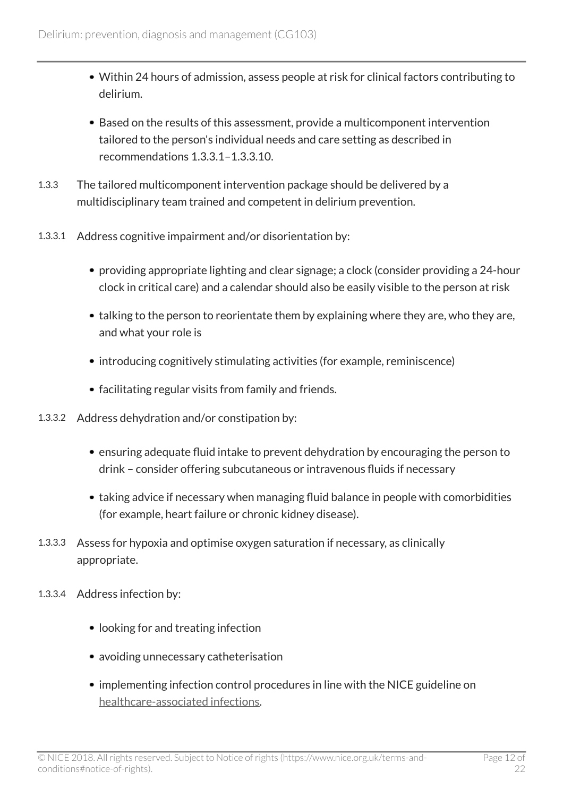- Within 24 hours of admission, assess people at risk for clinical factors contributing to delirium.
- Based on the results of this assessment, provide a multicomponent intervention tailored to the person's individual needs and care setting as described in recommendations 1.3.3.1–1.3.3.10.
- 1.3.3 The tailored multicomponent intervention package should be delivered by a multidisciplinary team trained and competent in delirium prevention.
- 1.3.3.1 Address cognitive impairment and/or disorientation by:
	- providing appropriate lighting and clear signage; a clock (consider providing a 24-hour clock in critical care) and a calendar should also be easily visible to the person at risk
	- talking to the person to reorientate them by explaining where they are, who they are, and what your role is
	- introducing cognitively stimulating activities (for example, reminiscence)
	- facilitating regular visits from family and friends.
- 1.3.3.2 Address dehydration and/or constipation by:
	- ensuring adequate fluid intake to prevent dehydration by encouraging the person to drink – consider offering subcutaneous or intravenous fluids if necessary
	- taking advice if necessary when managing fluid balance in people with comorbidities (for example, heart failure or chronic kidney disease).
- 1.3.3.3 Assess for hypoxia and optimise oxygen saturation if necessary, as clinically appropriate.
- 1.3.3.4 Address infection by:
	- looking for and treating infection
	- avoiding unnecessary catheterisation
	- implementing infection control procedures in line with the NICE guideline on [healthcare-associated infections](http://www.nice.org.uk/guidance/cg139).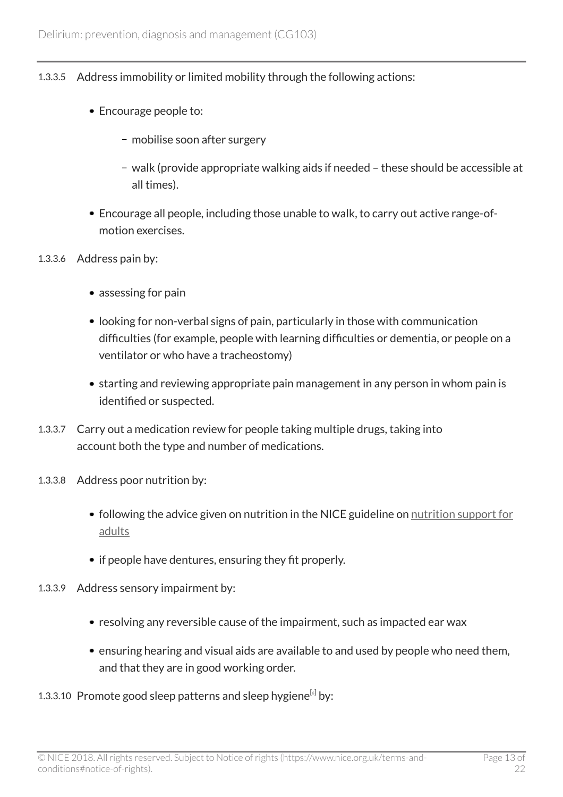#### 1.3.3.5 Address immobility or limited mobility through the following actions:

- Encourage people to:
	- mobilise soon after surgery
	- walk (provide appropriate walking aids if needed these should be accessible at all times).
- Encourage all people, including those unable to walk, to carry out active range-ofmotion exercises.
- 1.3.3.6 Address pain by:
	- assessing for pain
	- looking for non-verbal signs of pain, particularly in those with communication difficulties (for example, people with learning difficulties or dementia, or people on a ventilator or who have a tracheostomy)
	- starting and reviewing appropriate pain management in any person in whom pain is identified or suspected.
- 1.3.3.7 Carry out a medication review for people taking multiple drugs, taking into account both the type and number of medications.
- 1.3.3.8 Address poor nutrition by:
	- following the advice given on nutrition in the NICE guideline on [nutrition support for](http://www.nice.org.uk/guidance/cg32) [adults](http://www.nice.org.uk/guidance/cg32)
	- if people have dentures, ensuring they fit properly.
- 1.3.3.9 Address sensory impairment by:
	- resolving any reversible cause of the impairment, such as impacted ear wax
	- ensuring hearing and visual aids are available to and used by people who need them, and that they are in good working order.
- <span id="page-12-0"></span>1.3.3.10 Promote good sleep patterns and sleep hygiene $^{[s]}$  by: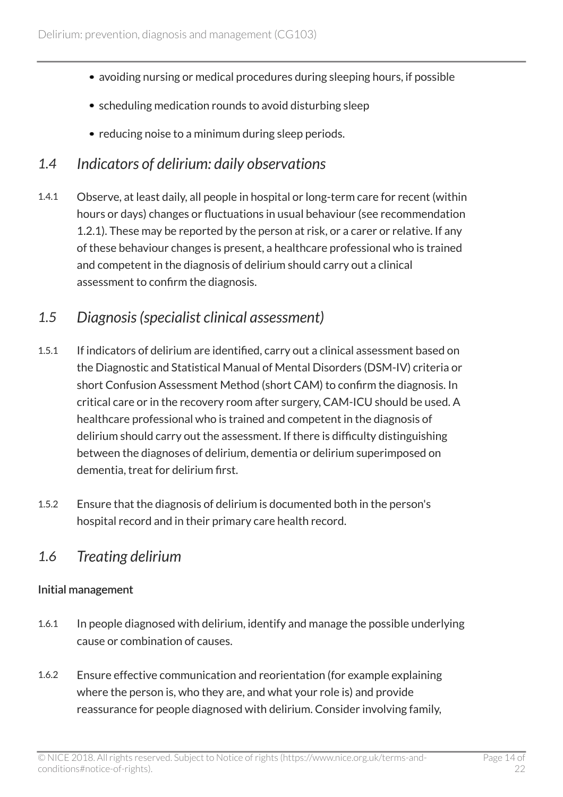- avoiding nursing or medical procedures during sleeping hours, if possible
- scheduling medication rounds to avoid disturbing sleep
- reducing noise to a minimum during sleep periods.

### <span id="page-13-0"></span>*1.4 Indicators of delirium: daily observations*

1.4.1 Observe, at least daily, all people in hospital or long-term care for recent (within hours or days) changes or fluctuations in usual behaviour (see recommendation 1.2.1). These may be reported by the person at risk, or a carer or relative. If any of these behaviour changes is present, a healthcare professional who is trained and competent in the diagnosis of delirium should carry out a clinical assessment to confirm the diagnosis.

### <span id="page-13-1"></span>*1.5 Diagnosis (specialist clinical assessment)*

- 1.5.1 If indicators of delirium are identified, carry out a clinical assessment based on the Diagnostic and Statistical Manual of Mental Disorders (DSM-IV) criteria or short Confusion Assessment Method (short CAM) to confirm the diagnosis. In critical care or in the recovery room after surgery, CAM-ICU should be used. A healthcare professional who is trained and competent in the diagnosis of delirium should carry out the assessment. If there is difficulty distinguishing between the diagnoses of delirium, dementia or delirium superimposed on dementia, treat for delirium first.
- 1.5.2 Ensure that the diagnosis of delirium is documented both in the person's hospital record and in their primary care health record.

### <span id="page-13-2"></span>*1.6 Treating delirium*

#### Initial management

- 1.6.1 In people diagnosed with delirium, identify and manage the possible underlying cause or combination of causes.
- 1.6.2 Ensure effective communication and reorientation (for example explaining where the person is, who they are, and what your role is) and provide reassurance for people diagnosed with delirium. Consider involving family,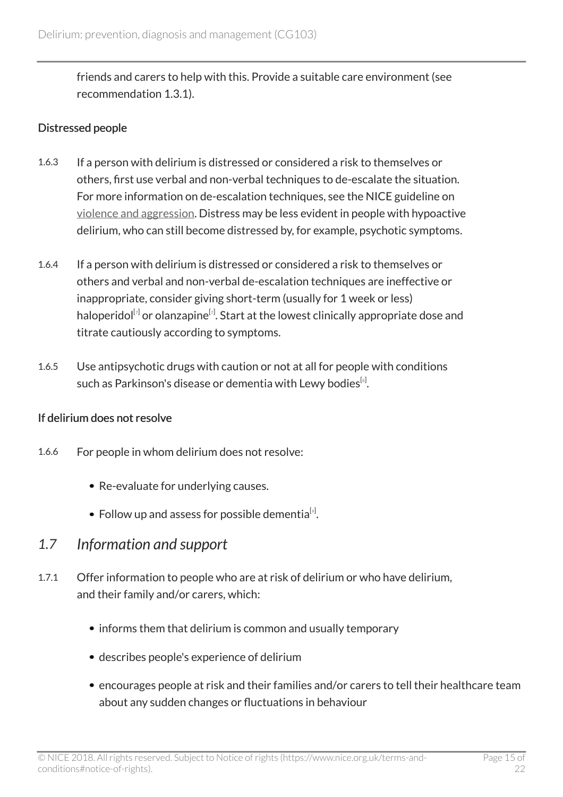friends and carers to help with this. Provide a suitable care environment (see recommendation 1.3.1).

#### Distressed people

- 1.6.3 If a person with delirium is distressed or considered a risk to themselves or others, first use verbal and non-verbal techniques to de-escalate the situation. For more information on de-escalation techniques, see the NICE guideline on [violence and aggression](http://www.nice.org.uk/guidance/ng10). Distress may be less evident in people with hypoactive delirium, who can still become distressed by, for example, psychotic symptoms.
- 1.6.4 If a person with delirium is distressed or considered a risk to themselves or others and verbal and non-verbal de-escalation techniques are ineffective or inappropriate, consider giving short-term (usually for 1 week or less) haloperidol $^{\lbrack\bar{z}\rbrack}$  or olanzapine $^{\lbrack\bar{z}\rbrack}$ . Start at the lowest clinically appropriate dose and titrate cautiously according to symptoms.
- <span id="page-14-2"></span><span id="page-14-1"></span>1.6.5 Use antipsychotic drugs with caution or not at all for people with conditions such as Parkinson's disease or dementia with Lewy bodies $^{\text{\tiny{[s]}}}$ .

#### If delirium does not resolve

- 1.6.6 For people in whom delirium does not resolve:
	- Re-evaluate for underlying causes.
	- Follow up and assess for possible dementia<sup>[[9](#page-15-5)]</sup>.
- <span id="page-14-3"></span><span id="page-14-0"></span>*1.7 Information and support*
- 1.7.1 Offer information to people who are at risk of delirium or who have delirium, and their family and/or carers, which:
	- informs them that delirium is common and usually temporary
	- describes people's experience of delirium
	- encourages people at risk and their families and/or carers to tell their healthcare team about any sudden changes or fluctuations in behaviour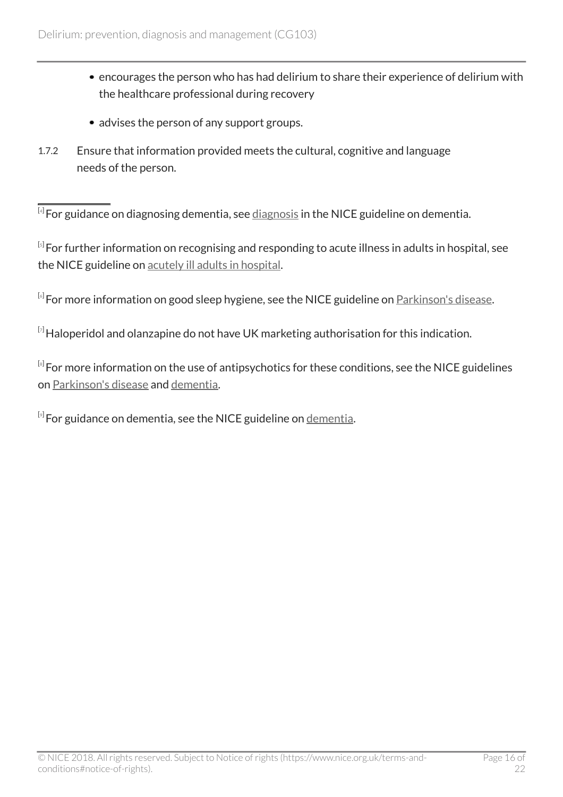- encourages the person who has had delirium to share their experience of delirium with the healthcare professional during recovery
- advises the person of any support groups.
- 1.7.2 Ensure that information provided meets the cultural, cognitive and language needs of the person.

<span id="page-15-0"></span> $^{\left[ 4 \right]}$  $^{\left[ 4 \right]}$  $^{\left[ 4 \right]}$ For guidance on diagnosing dementia, see  $\underline{\text{diagnostic}}$  in the NICE guideline on dementia.

<span id="page-15-1"></span> $^{\text{\tiny{[s]}}}$ For further information on recognising and responding to acute illness in adults in hospital, see the NICE guideline on [acutely ill adults in hospital.](http://www.nice.org.uk/guidance/cg50)

<span id="page-15-2"></span> $^{\left[ 6 \right]}$  $^{\left[ 6 \right]}$  $^{\left[ 6 \right]}$ For more information on good sleep hygiene, see the NICE guideline on <u>[Parkinson's disease](http://www.nice.org.uk/guidance/ng71)</u>.

<span id="page-15-3"></span> $[7]$  $[7]$  $[7]$ Haloperidol and olanzapine do not have UK marketing authorisation for this indication.

<span id="page-15-4"></span> $^{\text{\tiny{[s]}}}$ For more information on the use of antipsychotics for these conditions, see the NICE guidelines on [Parkinson's disease](http://www.nice.org.uk/guidance/ng71) and [dementia](http://www.nice.org.uk/guidance/ng97).

<span id="page-15-5"></span> ${}^{\left[\!\frac{1}{2}\!\right]}$ For guidance on [dementia](http://www.nice.org.uk/guidance/ng97), see the NICE guideline on <u>dementia</u>.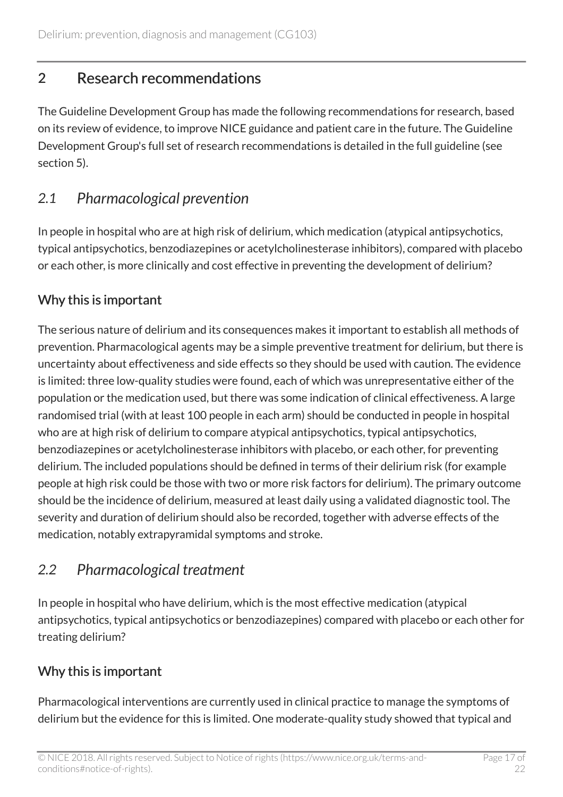# <span id="page-16-0"></span>2 Research recommendations

The Guideline Development Group has made the following recommendations for research, based on its review of evidence, to improve NICE guidance and patient care in the future. The Guideline Development Group's full set of research recommendations is detailed in the full guideline (see section 5).

# <span id="page-16-1"></span>*2.1 Pharmacological prevention*

In people in hospital who are at high risk of delirium, which medication (atypical antipsychotics, typical antipsychotics, benzodiazepines or acetylcholinesterase inhibitors), compared with placebo or each other, is more clinically and cost effective in preventing the development of delirium?

### Why this is important

The serious nature of delirium and its consequences makes it important to establish all methods of prevention. Pharmacological agents may be a simple preventive treatment for delirium, but there is uncertainty about effectiveness and side effects so they should be used with caution. The evidence is limited: three low-quality studies were found, each of which was unrepresentative either of the population or the medication used, but there was some indication of clinical effectiveness. A large randomised trial (with at least 100 people in each arm) should be conducted in people in hospital who are at high risk of delirium to compare atypical antipsychotics, typical antipsychotics, benzodiazepines or acetylcholinesterase inhibitors with placebo, or each other, for preventing delirium. The included populations should be defined in terms of their delirium risk (for example people at high risk could be those with two or more risk factors for delirium). The primary outcome should be the incidence of delirium, measured at least daily using a validated diagnostic tool. The severity and duration of delirium should also be recorded, together with adverse effects of the medication, notably extrapyramidal symptoms and stroke.

# <span id="page-16-2"></span>*2.2 Pharmacological treatment*

In people in hospital who have delirium, which is the most effective medication (atypical antipsychotics, typical antipsychotics or benzodiazepines) compared with placebo or each other for treating delirium?

### Why this is important

Pharmacological interventions are currently used in clinical practice to manage the symptoms of delirium but the evidence for this is limited. One moderate-quality study showed that typical and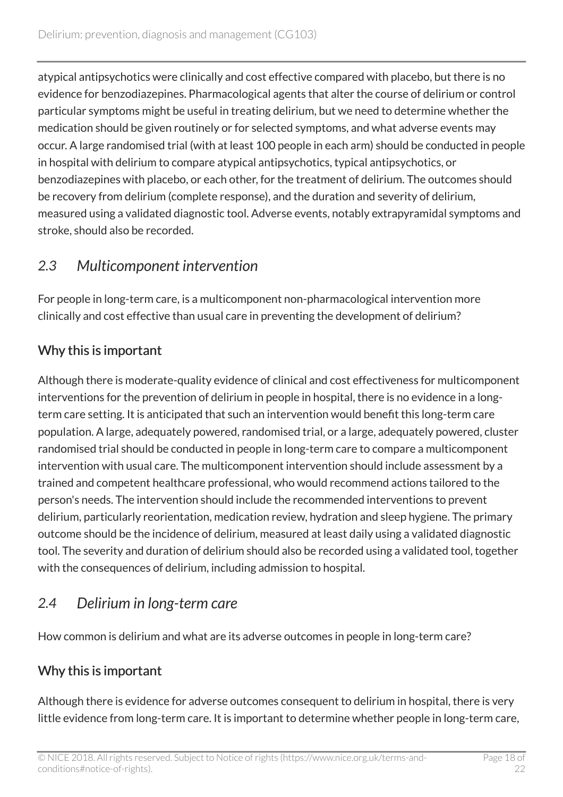atypical antipsychotics were clinically and cost effective compared with placebo, but there is no evidence for benzodiazepines. Pharmacological agents that alter the course of delirium or control particular symptoms might be useful in treating delirium, but we need to determine whether the medication should be given routinely or for selected symptoms, and what adverse events may occur. A large randomised trial (with at least 100 people in each arm) should be conducted in people in hospital with delirium to compare atypical antipsychotics, typical antipsychotics, or benzodiazepines with placebo, or each other, for the treatment of delirium. The outcomes should be recovery from delirium (complete response), and the duration and severity of delirium, measured using a validated diagnostic tool. Adverse events, notably extrapyramidal symptoms and stroke, should also be recorded.

# <span id="page-17-0"></span>*2.3 Multicomponent intervention*

For people in long-term care, is a multicomponent non-pharmacological intervention more clinically and cost effective than usual care in preventing the development of delirium?

### Why this is important

Although there is moderate-quality evidence of clinical and cost effectiveness for multicomponent interventions for the prevention of delirium in people in hospital, there is no evidence in a longterm care setting. It is anticipated that such an intervention would benefit this long-term care population. A large, adequately powered, randomised trial, or a large, adequately powered, cluster randomised trial should be conducted in people in long-term care to compare a multicomponent intervention with usual care. The multicomponent intervention should include assessment by a trained and competent healthcare professional, who would recommend actions tailored to the person's needs. The intervention should include the recommended interventions to prevent delirium, particularly reorientation, medication review, hydration and sleep hygiene. The primary outcome should be the incidence of delirium, measured at least daily using a validated diagnostic tool. The severity and duration of delirium should also be recorded using a validated tool, together with the consequences of delirium, including admission to hospital.

# <span id="page-17-1"></span>*2.4 Delirium in long-term care*

How common is delirium and what are its adverse outcomes in people in long-term care?

### Why this is important

Although there is evidence for adverse outcomes consequent to delirium in hospital, there is very little evidence from long-term care. It is important to determine whether people in long-term care,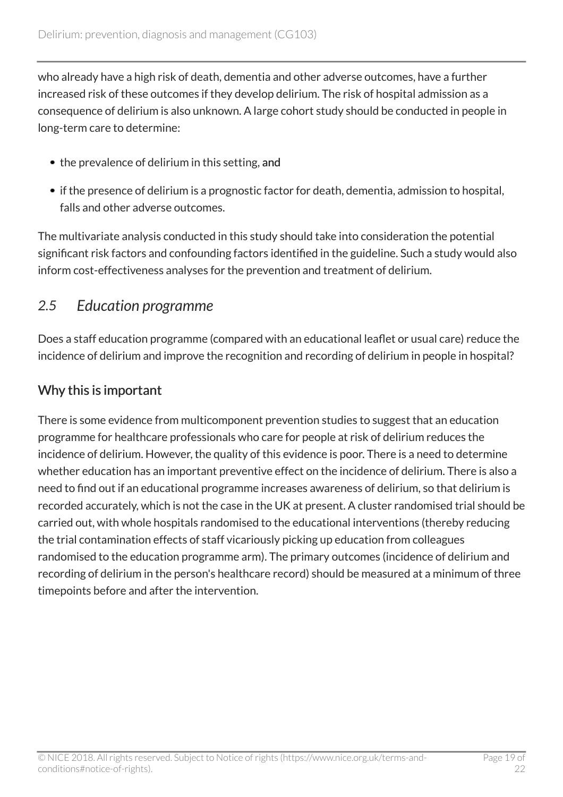who already have a high risk of death, dementia and other adverse outcomes, have a further increased risk of these outcomes if they develop delirium. The risk of hospital admission as a consequence of delirium is also unknown. A large cohort study should be conducted in people in long-term care to determine:

- the prevalence of delirium in this setting, and
- if the presence of delirium is a prognostic factor for death, dementia, admission to hospital, falls and other adverse outcomes.

The multivariate analysis conducted in this study should take into consideration the potential significant risk factors and confounding factors identified in the guideline. Such a study would also inform cost-effectiveness analyses for the prevention and treatment of delirium.

### <span id="page-18-0"></span>*2.5 Education programme*

Does a staff education programme (compared with an educational leaflet or usual care) reduce the incidence of delirium and improve the recognition and recording of delirium in people in hospital?

### Why this is important

There is some evidence from multicomponent prevention studies to suggest that an education programme for healthcare professionals who care for people at risk of delirium reduces the incidence of delirium. However, the quality of this evidence is poor. There is a need to determine whether education has an important preventive effect on the incidence of delirium. There is also a need to find out if an educational programme increases awareness of delirium, so that delirium is recorded accurately, which is not the case in the UK at present. A cluster randomised trial should be carried out, with whole hospitals randomised to the educational interventions (thereby reducing the trial contamination effects of staff vicariously picking up education from colleagues randomised to the education programme arm). The primary outcomes (incidence of delirium and recording of delirium in the person's healthcare record) should be measured at a minimum of three timepoints before and after the intervention.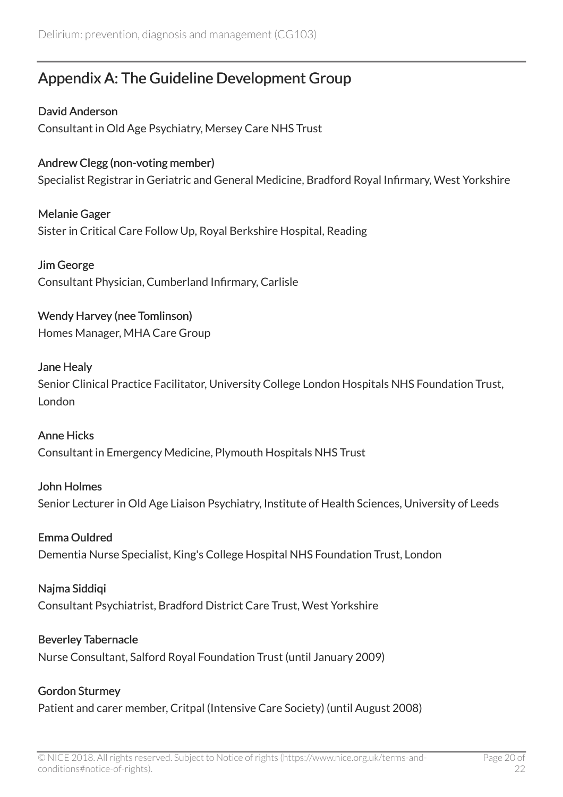# <span id="page-19-0"></span>Appendix A: The Guideline Development Group

David Anderson Consultant in Old Age Psychiatry, Mersey Care NHS Trust

Andrew Clegg (non-voting member) Specialist Registrar in Geriatric and General Medicine, Bradford Royal Infirmary, West Yorkshire

Melanie Gager Sister in Critical Care Follow Up, Royal Berkshire Hospital, Reading

Jim George Consultant Physician, Cumberland Infirmary, Carlisle

Wendy Harvey (nee Tomlinson) Homes Manager, MHA Care Group

### Jane Healy

Senior Clinical Practice Facilitator, University College London Hospitals NHS Foundation Trust, London

Anne Hicks Consultant in Emergency Medicine, Plymouth Hospitals NHS Trust

John Holmes

Senior Lecturer in Old Age Liaison Psychiatry, Institute of Health Sciences, University of Leeds

### Emma Ouldred

Dementia Nurse Specialist, King's College Hospital NHS Foundation Trust, London

#### Najma Siddiqi

Consultant Psychiatrist, Bradford District Care Trust, West Yorkshire

#### Beverley Tabernacle

Nurse Consultant, Salford Royal Foundation Trust (until January 2009)

#### Gordon Sturmey

Patient and carer member, Critpal (Intensive Care Society) (until August 2008)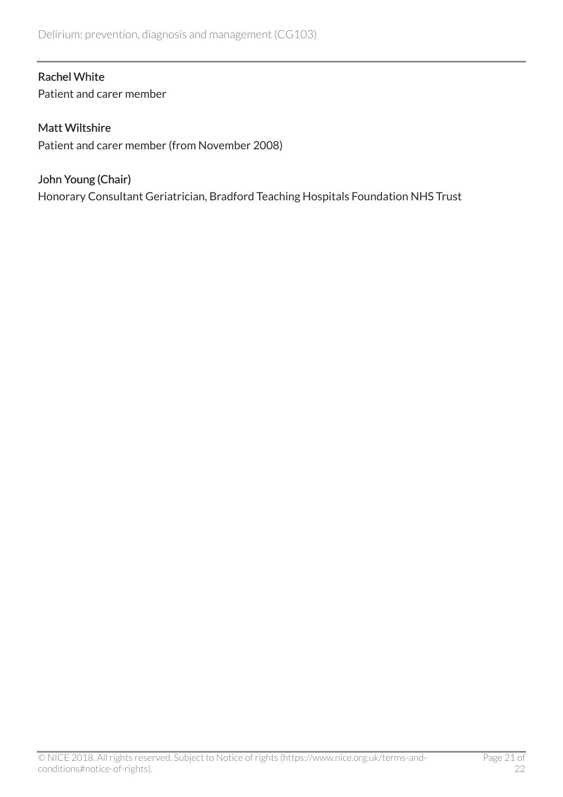#### Rachel White

Patient and carer member

#### Matt Wiltshire

Patient and carer member (from November 2008)

#### John Young (Chair)

Honorary Consultant Geriatrician, Bradford Teaching Hospitals Foundation NHS Trust